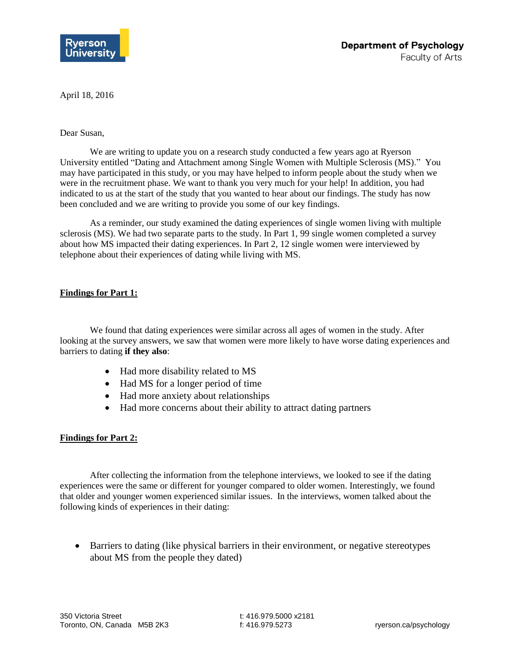

April 18, 2016

## Dear Susan,

We are writing to update you on a research study conducted a few years ago at Ryerson University entitled "Dating and Attachment among Single Women with Multiple Sclerosis (MS)." You may have participated in this study, or you may have helped to inform people about the study when we were in the recruitment phase. We want to thank you very much for your help! In addition, you had indicated to us at the start of the study that you wanted to hear about our findings. The study has now been concluded and we are writing to provide you some of our key findings.

As a reminder, our study examined the dating experiences of single women living with multiple sclerosis (MS). We had two separate parts to the study. In Part 1, 99 single women completed a survey about how MS impacted their dating experiences. In Part 2, 12 single women were interviewed by telephone about their experiences of dating while living with MS.

## **Findings for Part 1:**

We found that dating experiences were similar across all ages of women in the study. After looking at the survey answers, we saw that women were more likely to have worse dating experiences and barriers to dating **if they also**:

- Had more disability related to MS
- Had MS for a longer period of time
- Had more anxiety about relationships
- Had more concerns about their ability to attract dating partners

## **Findings for Part 2:**

After collecting the information from the telephone interviews, we looked to see if the dating experiences were the same or different for younger compared to older women. Interestingly, we found that older and younger women experienced similar issues. In the interviews, women talked about the following kinds of experiences in their dating:

 Barriers to dating (like physical barriers in their environment, or negative stereotypes about MS from the people they dated)